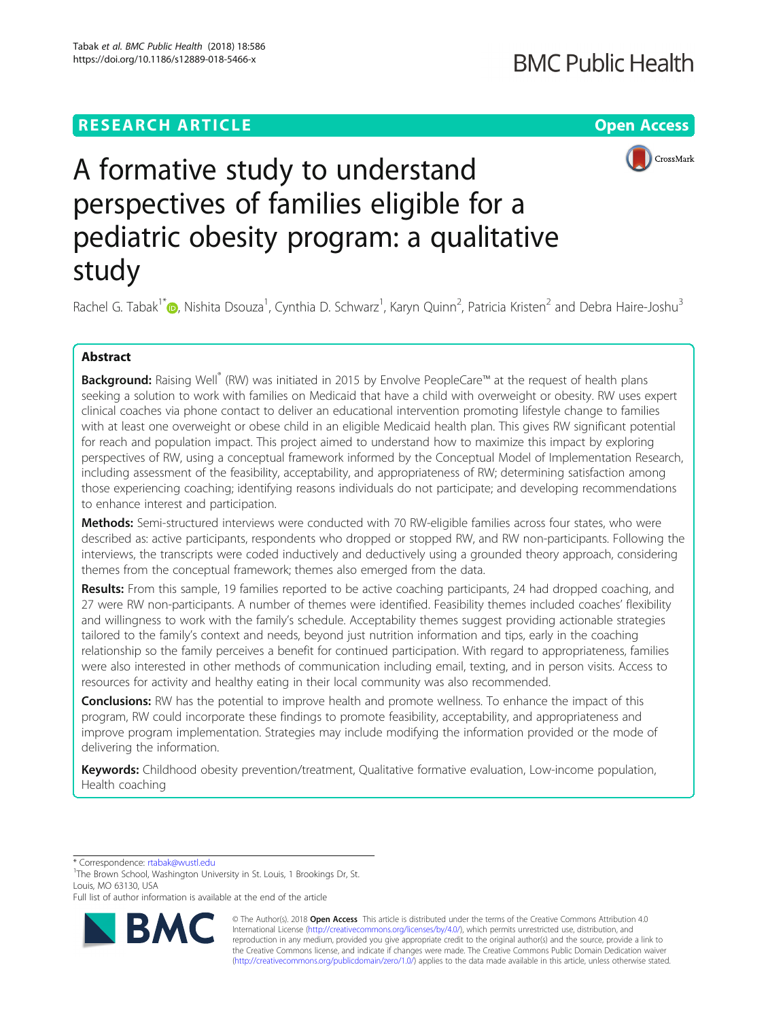# **RESEARCH ARTICLE Example 2014 12:30 The Contract of Contract ACCESS**



# A formative study to understand perspectives of families eligible for a pediatric obesity program: a qualitative study

Rachel G. Tabak<sup>1[\\*](http://orcid.org/0000-0003-2967-3906)</sup>�, Nishita Dsouza<sup>1</sup>, Cynthia D. Schwarz<sup>1</sup>, Karyn Quinn<sup>2</sup>, Patricia Kristen<sup>2</sup> and Debra Haire-Joshu<sup>3</sup>

# Abstract

**Background:** Raising Well® (RW) was initiated in 2015 by Envolve PeopleCare™ at the request of health plans seeking a solution to work with families on Medicaid that have a child with overweight or obesity. RW uses expert clinical coaches via phone contact to deliver an educational intervention promoting lifestyle change to families with at least one overweight or obese child in an eligible Medicaid health plan. This gives RW significant potential for reach and population impact. This project aimed to understand how to maximize this impact by exploring perspectives of RW, using a conceptual framework informed by the Conceptual Model of Implementation Research, including assessment of the feasibility, acceptability, and appropriateness of RW; determining satisfaction among those experiencing coaching; identifying reasons individuals do not participate; and developing recommendations to enhance interest and participation.

Methods: Semi-structured interviews were conducted with 70 RW-eligible families across four states, who were described as: active participants, respondents who dropped or stopped RW, and RW non-participants. Following the interviews, the transcripts were coded inductively and deductively using a grounded theory approach, considering themes from the conceptual framework; themes also emerged from the data.

Results: From this sample, 19 families reported to be active coaching participants, 24 had dropped coaching, and 27 were RW non-participants. A number of themes were identified. Feasibility themes included coaches' flexibility and willingness to work with the family's schedule. Acceptability themes suggest providing actionable strategies tailored to the family's context and needs, beyond just nutrition information and tips, early in the coaching relationship so the family perceives a benefit for continued participation. With regard to appropriateness, families were also interested in other methods of communication including email, texting, and in person visits. Access to resources for activity and healthy eating in their local community was also recommended.

**Conclusions:** RW has the potential to improve health and promote wellness. To enhance the impact of this program, RW could incorporate these findings to promote feasibility, acceptability, and appropriateness and improve program implementation. Strategies may include modifying the information provided or the mode of delivering the information.

Keywords: Childhood obesity prevention/treatment, Qualitative formative evaluation, Low-income population, Health coaching

\* Correspondence: [rtabak@wustl.edu](mailto:rtabak@wustl.edu) <sup>1</sup>

<sup>1</sup>The Brown School, Washington University in St. Louis, 1 Brookings Dr, St. Louis, MO 63130, USA

Full list of author information is available at the end of the article



© The Author(s). 2018 Open Access This article is distributed under the terms of the Creative Commons Attribution 4.0 International License [\(http://creativecommons.org/licenses/by/4.0/](http://creativecommons.org/licenses/by/4.0/)), which permits unrestricted use, distribution, and reproduction in any medium, provided you give appropriate credit to the original author(s) and the source, provide a link to the Creative Commons license, and indicate if changes were made. The Creative Commons Public Domain Dedication waiver [\(http://creativecommons.org/publicdomain/zero/1.0/](http://creativecommons.org/publicdomain/zero/1.0/)) applies to the data made available in this article, unless otherwise stated.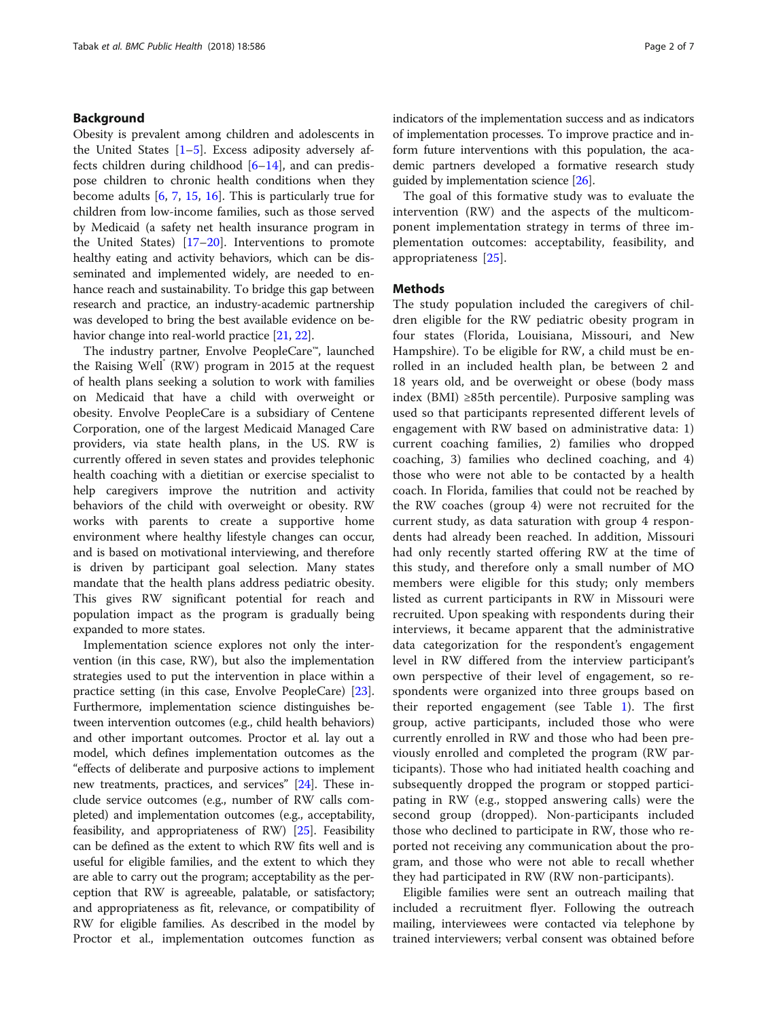# Background

Obesity is prevalent among children and adolescents in the United States  $[1-5]$  $[1-5]$  $[1-5]$ . Excess adiposity adversely affects children during childhood  $[6–14]$  $[6–14]$  $[6–14]$ , and can predispose children to chronic health conditions when they become adults [[6,](#page-5-0) [7](#page-5-0), [15,](#page-5-0) [16](#page-5-0)]. This is particularly true for children from low-income families, such as those served by Medicaid (a safety net health insurance program in the United States) [[17](#page-5-0)–[20](#page-6-0)]. Interventions to promote healthy eating and activity behaviors, which can be disseminated and implemented widely, are needed to enhance reach and sustainability. To bridge this gap between research and practice, an industry-academic partnership was developed to bring the best available evidence on behavior change into real-world practice [[21](#page-6-0), [22\]](#page-6-0).

The industry partner, Envolve PeopleCare™, launched the Raising Well® (RW) program in 2015 at the request of health plans seeking a solution to work with families on Medicaid that have a child with overweight or obesity. Envolve PeopleCare is a subsidiary of Centene Corporation, one of the largest Medicaid Managed Care providers, via state health plans, in the US. RW is currently offered in seven states and provides telephonic health coaching with a dietitian or exercise specialist to help caregivers improve the nutrition and activity behaviors of the child with overweight or obesity. RW works with parents to create a supportive home environment where healthy lifestyle changes can occur, and is based on motivational interviewing, and therefore is driven by participant goal selection. Many states mandate that the health plans address pediatric obesity. This gives RW significant potential for reach and population impact as the program is gradually being expanded to more states.

Implementation science explores not only the intervention (in this case, RW), but also the implementation strategies used to put the intervention in place within a practice setting (in this case, Envolve PeopleCare) [\[23](#page-6-0)]. Furthermore, implementation science distinguishes between intervention outcomes (e.g., child health behaviors) and other important outcomes. Proctor et al. lay out a model, which defines implementation outcomes as the "effects of deliberate and purposive actions to implement new treatments, practices, and services" [\[24\]](#page-6-0). These include service outcomes (e.g., number of RW calls completed) and implementation outcomes (e.g., acceptability, feasibility, and appropriateness of RW) [[25](#page-6-0)]. Feasibility can be defined as the extent to which RW fits well and is useful for eligible families, and the extent to which they are able to carry out the program; acceptability as the perception that RW is agreeable, palatable, or satisfactory; and appropriateness as fit, relevance, or compatibility of RW for eligible families. As described in the model by Proctor et al., implementation outcomes function as indicators of the implementation success and as indicators of implementation processes. To improve practice and inform future interventions with this population, the academic partners developed a formative research study guided by implementation science [[26](#page-6-0)].

The goal of this formative study was to evaluate the intervention (RW) and the aspects of the multicomponent implementation strategy in terms of three implementation outcomes: acceptability, feasibility, and appropriateness [[25\]](#page-6-0).

# Methods

The study population included the caregivers of children eligible for the RW pediatric obesity program in four states (Florida, Louisiana, Missouri, and New Hampshire). To be eligible for RW, a child must be enrolled in an included health plan, be between 2 and 18 years old, and be overweight or obese (body mass index (BMI) ≥85th percentile). Purposive sampling was used so that participants represented different levels of engagement with RW based on administrative data: 1) current coaching families, 2) families who dropped coaching, 3) families who declined coaching, and 4) those who were not able to be contacted by a health coach. In Florida, families that could not be reached by the RW coaches (group 4) were not recruited for the current study, as data saturation with group 4 respondents had already been reached. In addition, Missouri had only recently started offering RW at the time of this study, and therefore only a small number of MO members were eligible for this study; only members listed as current participants in RW in Missouri were recruited. Upon speaking with respondents during their interviews, it became apparent that the administrative data categorization for the respondent's engagement level in RW differed from the interview participant's own perspective of their level of engagement, so respondents were organized into three groups based on their reported engagement (see Table [1\)](#page-2-0). The first group, active participants, included those who were currently enrolled in RW and those who had been previously enrolled and completed the program (RW participants). Those who had initiated health coaching and subsequently dropped the program or stopped participating in RW (e.g., stopped answering calls) were the second group (dropped). Non-participants included those who declined to participate in RW, those who reported not receiving any communication about the program, and those who were not able to recall whether they had participated in RW (RW non-participants).

Eligible families were sent an outreach mailing that included a recruitment flyer. Following the outreach mailing, interviewees were contacted via telephone by trained interviewers; verbal consent was obtained before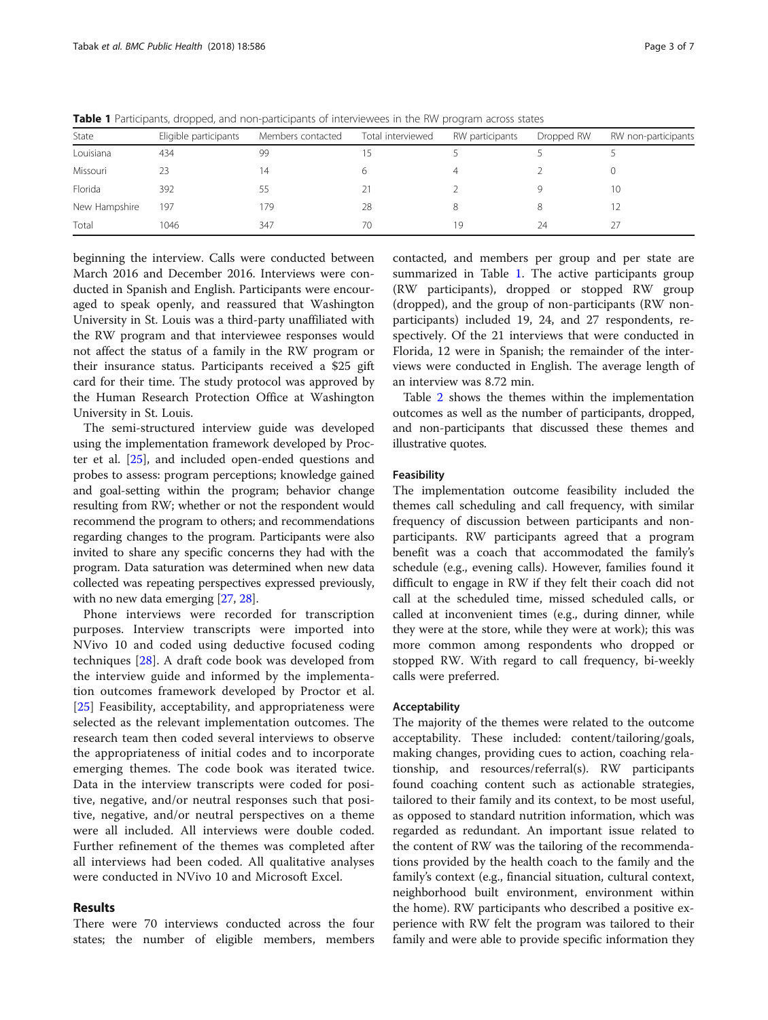| State         | Eligible participants | Members contacted | Total interviewed | RW participants | Dropped RW | RW non-participants |
|---------------|-----------------------|-------------------|-------------------|-----------------|------------|---------------------|
| Louisiana     | 434                   | 99                |                   |                 |            |                     |
| Missouri      | 23                    | 14                |                   |                 |            |                     |
| Florida       | 392                   | 55                |                   |                 | Q          | 10                  |
| New Hampshire | 197                   | 179               | 28                |                 |            |                     |
| Total         | 1046                  | 347               | 70                | 19              | 24         |                     |

<span id="page-2-0"></span>Table 1 Participants, dropped, and non-participants of interviewees in the RW program across states

beginning the interview. Calls were conducted between March 2016 and December 2016. Interviews were conducted in Spanish and English. Participants were encouraged to speak openly, and reassured that Washington University in St. Louis was a third-party unaffiliated with the RW program and that interviewee responses would not affect the status of a family in the RW program or their insurance status. Participants received a \$25 gift card for their time. The study protocol was approved by the Human Research Protection Office at Washington University in St. Louis.

The semi-structured interview guide was developed using the implementation framework developed by Procter et al. [\[25\]](#page-6-0), and included open-ended questions and probes to assess: program perceptions; knowledge gained and goal-setting within the program; behavior change resulting from RW; whether or not the respondent would recommend the program to others; and recommendations regarding changes to the program. Participants were also invited to share any specific concerns they had with the program. Data saturation was determined when new data collected was repeating perspectives expressed previously, with no new data emerging [\[27](#page-6-0), [28](#page-6-0)].

Phone interviews were recorded for transcription purposes. Interview transcripts were imported into NVivo 10 and coded using deductive focused coding techniques [\[28](#page-6-0)]. A draft code book was developed from the interview guide and informed by the implementation outcomes framework developed by Proctor et al. [[25\]](#page-6-0) Feasibility, acceptability, and appropriateness were selected as the relevant implementation outcomes. The research team then coded several interviews to observe the appropriateness of initial codes and to incorporate emerging themes. The code book was iterated twice. Data in the interview transcripts were coded for positive, negative, and/or neutral responses such that positive, negative, and/or neutral perspectives on a theme were all included. All interviews were double coded. Further refinement of the themes was completed after all interviews had been coded. All qualitative analyses were conducted in NVivo 10 and Microsoft Excel.

# Results

There were 70 interviews conducted across the four states; the number of eligible members, members

contacted, and members per group and per state are summarized in Table 1. The active participants group (RW participants), dropped or stopped RW group (dropped), and the group of non-participants (RW nonparticipants) included 19, 24, and 27 respondents, respectively. Of the 21 interviews that were conducted in Florida, 12 were in Spanish; the remainder of the interviews were conducted in English. The average length of an interview was 8.72 min.

Table [2](#page-3-0) shows the themes within the implementation outcomes as well as the number of participants, dropped, and non-participants that discussed these themes and illustrative quotes.

#### Feasibility

The implementation outcome feasibility included the themes call scheduling and call frequency, with similar frequency of discussion between participants and nonparticipants. RW participants agreed that a program benefit was a coach that accommodated the family's schedule (e.g., evening calls). However, families found it difficult to engage in RW if they felt their coach did not call at the scheduled time, missed scheduled calls, or called at inconvenient times (e.g., during dinner, while they were at the store, while they were at work); this was more common among respondents who dropped or stopped RW. With regard to call frequency, bi-weekly calls were preferred.

# Acceptability

The majority of the themes were related to the outcome acceptability. These included: content/tailoring/goals, making changes, providing cues to action, coaching relationship, and resources/referral(s). RW participants found coaching content such as actionable strategies, tailored to their family and its context, to be most useful, as opposed to standard nutrition information, which was regarded as redundant. An important issue related to the content of RW was the tailoring of the recommendations provided by the health coach to the family and the family's context (e.g., financial situation, cultural context, neighborhood built environment, environment within the home). RW participants who described a positive experience with RW felt the program was tailored to their family and were able to provide specific information they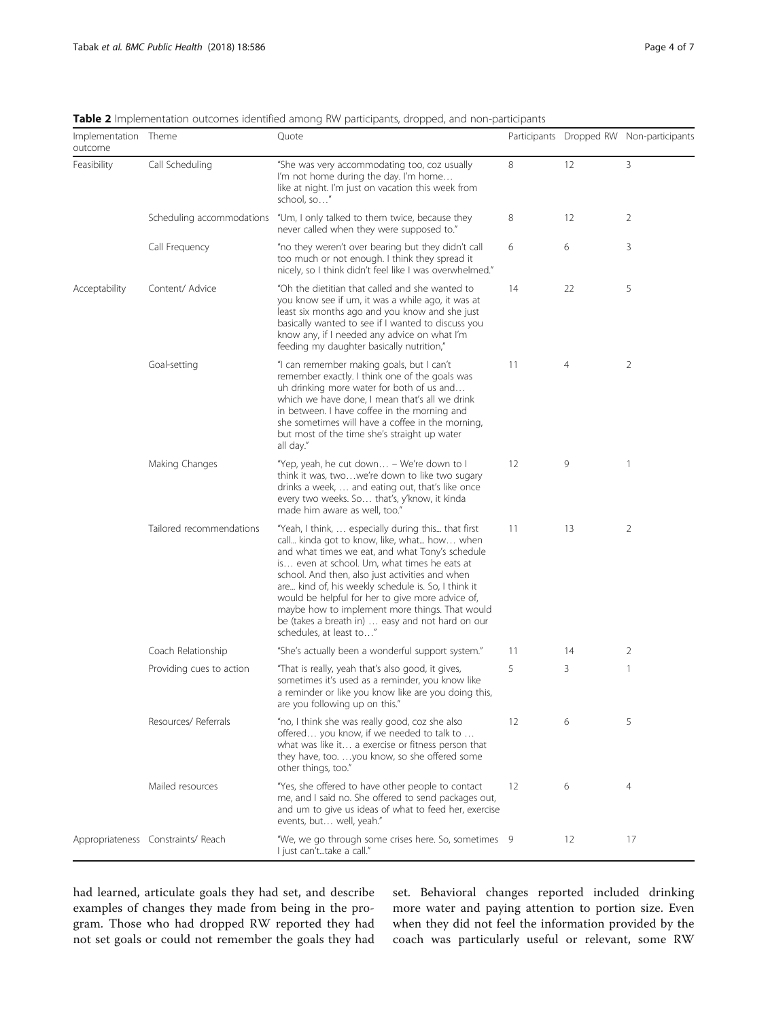<span id="page-3-0"></span>

| Table 2 Implementation outcomes identified among RW participants, dropped, and non-participants |  |  |  |  |  |
|-------------------------------------------------------------------------------------------------|--|--|--|--|--|
|-------------------------------------------------------------------------------------------------|--|--|--|--|--|

| Implementation Theme<br>outcome |                                   | Quote                                                                                                                                                                                                                                                                                                                                                                                                                                                                                               |    |                | Participants Dropped RW Non-participants |
|---------------------------------|-----------------------------------|-----------------------------------------------------------------------------------------------------------------------------------------------------------------------------------------------------------------------------------------------------------------------------------------------------------------------------------------------------------------------------------------------------------------------------------------------------------------------------------------------------|----|----------------|------------------------------------------|
| Feasibility                     | Call Scheduling                   | "She was very accommodating too, coz usually<br>I'm not home during the day. I'm home<br>like at night. I'm just on vacation this week from<br>school, so"                                                                                                                                                                                                                                                                                                                                          | 8  | 12             | 3                                        |
|                                 | Scheduling accommodations         | "Um, I only talked to them twice, because they<br>never called when they were supposed to."                                                                                                                                                                                                                                                                                                                                                                                                         | 8  | 12             | 2                                        |
|                                 | Call Frequency                    | "no they weren't over bearing but they didn't call<br>too much or not enough. I think they spread it<br>nicely, so I think didn't feel like I was overwhelmed."                                                                                                                                                                                                                                                                                                                                     | 6  | 6              | 3                                        |
| Acceptability                   | Content/ Advice                   | "Oh the dietitian that called and she wanted to<br>you know see if um, it was a while ago, it was at<br>least six months ago and you know and she just<br>basically wanted to see if I wanted to discuss you<br>know any, if I needed any advice on what I'm<br>feeding my daughter basically nutrition,"                                                                                                                                                                                           | 14 | 22             | 5                                        |
|                                 | Goal-setting                      | "I can remember making goals, but I can't<br>remember exactly. I think one of the goals was<br>uh drinking more water for both of us and<br>which we have done, I mean that's all we drink<br>in between. I have coffee in the morning and<br>she sometimes will have a coffee in the morning,<br>but most of the time she's straight up water<br>all day."                                                                                                                                         |    | $\overline{4}$ | 2                                        |
|                                 | Making Changes                    | "Yep, yeah, he cut down - We're down to I<br>think it was, twowe're down to like two sugary<br>drinks a week,  and eating out, that's like once<br>every two weeks. So that's, y'know, it kinda<br>made him aware as well, too."                                                                                                                                                                                                                                                                    | 12 | 9              | 1                                        |
|                                 | Tailored recommendations          | "Yeah, I think,  especially during this that first<br>call kinda got to know, like, what how when<br>and what times we eat, and what Tony's schedule<br>is even at school. Um, what times he eats at<br>school. And then, also just activities and when<br>are kind of, his weekly schedule is. So, I think it<br>would be helpful for her to give more advice of,<br>maybe how to implement more things. That would<br>be (takes a breath in)  easy and not hard on our<br>schedules, at least to" | 11 | 13             | $\overline{2}$                           |
|                                 | Coach Relationship                | "She's actually been a wonderful support system."                                                                                                                                                                                                                                                                                                                                                                                                                                                   | 11 | 14             | 2                                        |
|                                 | Providing cues to action          | "That is really, yeah that's also good, it gives,<br>sometimes it's used as a reminder, you know like<br>a reminder or like you know like are you doing this,<br>are you following up on this."                                                                                                                                                                                                                                                                                                     | 5  | 3              | 1                                        |
|                                 | Resources/ Referrals              | "no, I think she was really good, coz she also<br>offered you know, if we needed to talk to<br>what was like it a exercise or fitness person that<br>they have, too. you know, so she offered some<br>other things, too."                                                                                                                                                                                                                                                                           | 12 | 6              | 5                                        |
|                                 | Mailed resources                  | "Yes, she offered to have other people to contact<br>me, and I said no. She offered to send packages out,<br>and um to give us ideas of what to feed her, exercise<br>events, but well, yeah."                                                                                                                                                                                                                                                                                                      | 12 | 6              | $\overline{4}$                           |
|                                 | Appropriateness Constraints/Reach | "We, we go through some crises here. So, sometimes 9<br>l just can'ttake a call."                                                                                                                                                                                                                                                                                                                                                                                                                   |    | 12             | 17                                       |

had learned, articulate goals they had set, and describe examples of changes they made from being in the program. Those who had dropped RW reported they had not set goals or could not remember the goals they had set. Behavioral changes reported included drinking more water and paying attention to portion size. Even when they did not feel the information provided by the coach was particularly useful or relevant, some RW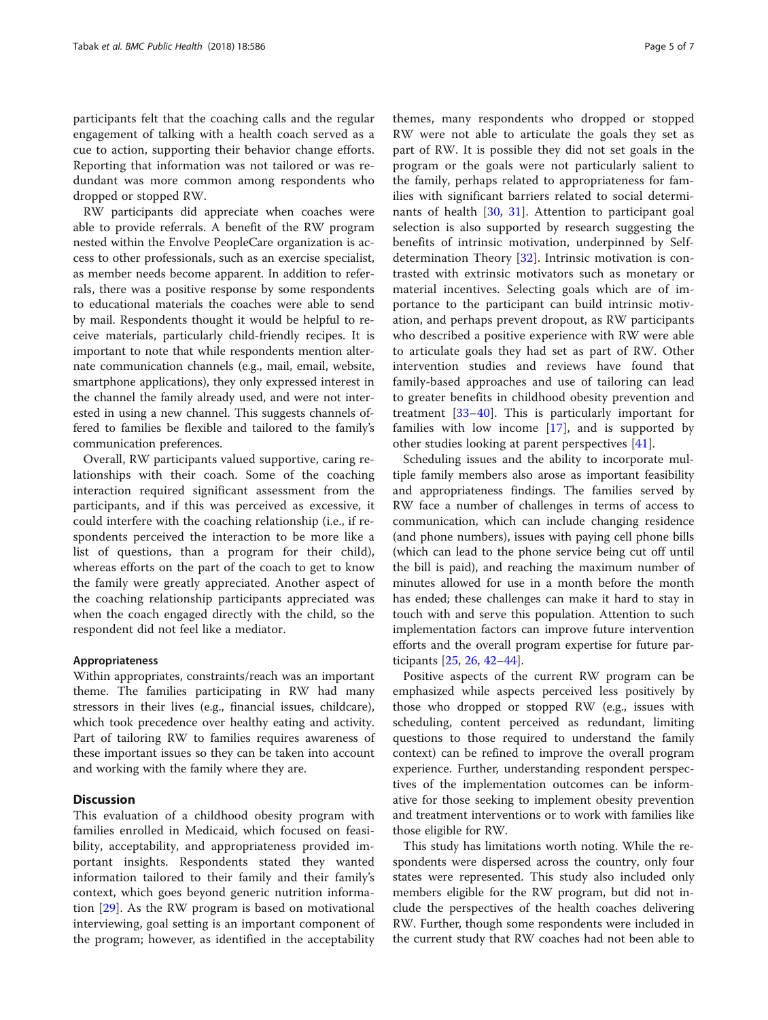participants felt that the coaching calls and the regular engagement of talking with a health coach served as a cue to action, supporting their behavior change efforts. Reporting that information was not tailored or was redundant was more common among respondents who dropped or stopped RW.

RW participants did appreciate when coaches were able to provide referrals. A benefit of the RW program nested within the Envolve PeopleCare organization is access to other professionals, such as an exercise specialist, as member needs become apparent. In addition to referrals, there was a positive response by some respondents to educational materials the coaches were able to send by mail. Respondents thought it would be helpful to receive materials, particularly child-friendly recipes. It is important to note that while respondents mention alternate communication channels (e.g., mail, email, website, smartphone applications), they only expressed interest in the channel the family already used, and were not interested in using a new channel. This suggests channels offered to families be flexible and tailored to the family's communication preferences.

Overall, RW participants valued supportive, caring relationships with their coach. Some of the coaching interaction required significant assessment from the participants, and if this was perceived as excessive, it could interfere with the coaching relationship (i.e., if respondents perceived the interaction to be more like a list of questions, than a program for their child), whereas efforts on the part of the coach to get to know the family were greatly appreciated. Another aspect of the coaching relationship participants appreciated was when the coach engaged directly with the child, so the respondent did not feel like a mediator.

# Appropriateness

Within appropriates, constraints/reach was an important theme. The families participating in RW had many stressors in their lives (e.g., financial issues, childcare), which took precedence over healthy eating and activity. Part of tailoring RW to families requires awareness of these important issues so they can be taken into account and working with the family where they are.

# **Discussion**

This evaluation of a childhood obesity program with families enrolled in Medicaid, which focused on feasibility, acceptability, and appropriateness provided important insights. Respondents stated they wanted information tailored to their family and their family's context, which goes beyond generic nutrition information [[29\]](#page-6-0). As the RW program is based on motivational interviewing, goal setting is an important component of the program; however, as identified in the acceptability

themes, many respondents who dropped or stopped RW were not able to articulate the goals they set as part of RW. It is possible they did not set goals in the program or the goals were not particularly salient to the family, perhaps related to appropriateness for families with significant barriers related to social determinants of health [[30,](#page-6-0) [31\]](#page-6-0). Attention to participant goal selection is also supported by research suggesting the benefits of intrinsic motivation, underpinned by Selfdetermination Theory [[32\]](#page-6-0). Intrinsic motivation is contrasted with extrinsic motivators such as monetary or material incentives. Selecting goals which are of importance to the participant can build intrinsic motivation, and perhaps prevent dropout, as RW participants who described a positive experience with RW were able to articulate goals they had set as part of RW. Other intervention studies and reviews have found that family-based approaches and use of tailoring can lead to greater benefits in childhood obesity prevention and treatment [\[33](#page-6-0)–[40](#page-6-0)]. This is particularly important for families with low income  $[17]$  $[17]$ , and is supported by other studies looking at parent perspectives [[41\]](#page-6-0).

Scheduling issues and the ability to incorporate multiple family members also arose as important feasibility and appropriateness findings. The families served by RW face a number of challenges in terms of access to communication, which can include changing residence (and phone numbers), issues with paying cell phone bills (which can lead to the phone service being cut off until the bill is paid), and reaching the maximum number of minutes allowed for use in a month before the month has ended; these challenges can make it hard to stay in touch with and serve this population. Attention to such implementation factors can improve future intervention efforts and the overall program expertise for future participants [[25](#page-6-0), [26](#page-6-0), [42](#page-6-0)–[44\]](#page-6-0).

Positive aspects of the current RW program can be emphasized while aspects perceived less positively by those who dropped or stopped RW (e.g., issues with scheduling, content perceived as redundant, limiting questions to those required to understand the family context) can be refined to improve the overall program experience. Further, understanding respondent perspectives of the implementation outcomes can be informative for those seeking to implement obesity prevention and treatment interventions or to work with families like those eligible for RW.

This study has limitations worth noting. While the respondents were dispersed across the country, only four states were represented. This study also included only members eligible for the RW program, but did not include the perspectives of the health coaches delivering RW. Further, though some respondents were included in the current study that RW coaches had not been able to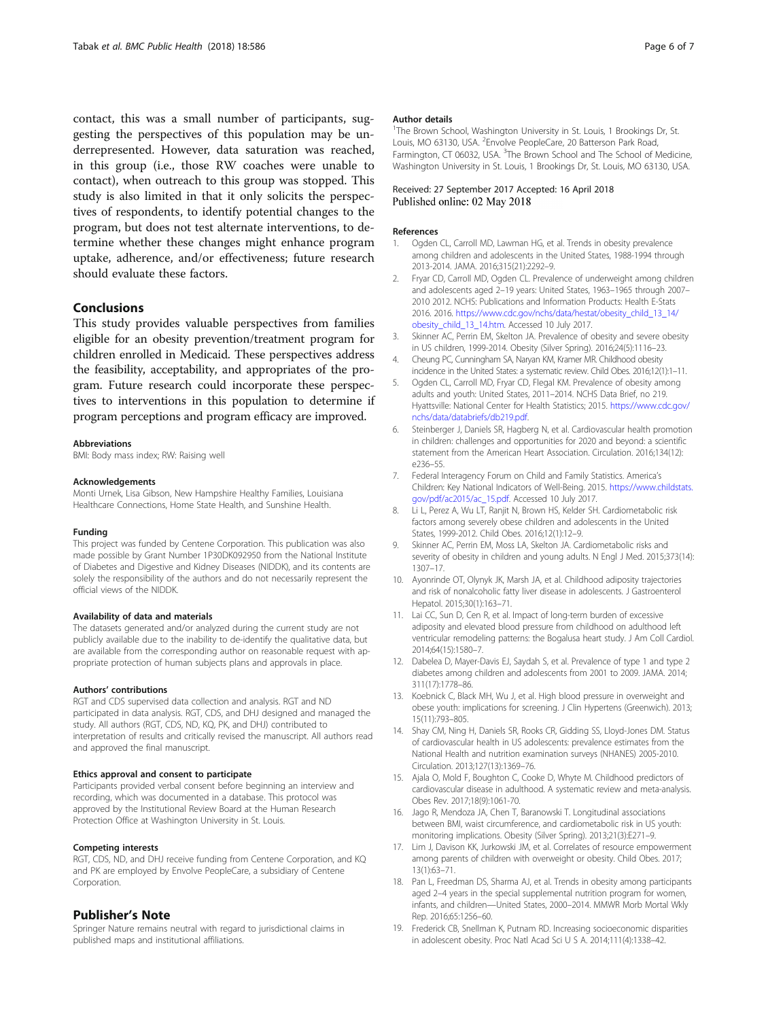<span id="page-5-0"></span>contact, this was a small number of participants, suggesting the perspectives of this population may be underrepresented. However, data saturation was reached, in this group (i.e., those RW coaches were unable to contact), when outreach to this group was stopped. This study is also limited in that it only solicits the perspectives of respondents, to identify potential changes to the program, but does not test alternate interventions, to determine whether these changes might enhance program uptake, adherence, and/or effectiveness; future research should evaluate these factors.

# Conclusions

This study provides valuable perspectives from families eligible for an obesity prevention/treatment program for children enrolled in Medicaid. These perspectives address the feasibility, acceptability, and appropriates of the program. Future research could incorporate these perspectives to interventions in this population to determine if program perceptions and program efficacy are improved.

#### Abbreviations

BMI: Body mass index; RW: Raising well

#### Acknowledgements

Monti Urnek, Lisa Gibson, New Hampshire Healthy Families, Louisiana Healthcare Connections, Home State Health, and Sunshine Health.

#### Funding

This project was funded by Centene Corporation. This publication was also made possible by Grant Number 1P30DK092950 from the National Institute of Diabetes and Digestive and Kidney Diseases (NIDDK), and its contents are solely the responsibility of the authors and do not necessarily represent the official views of the NIDDK.

#### Availability of data and materials

The datasets generated and/or analyzed during the current study are not publicly available due to the inability to de-identify the qualitative data, but are available from the corresponding author on reasonable request with appropriate protection of human subjects plans and approvals in place.

#### Authors' contributions

RGT and CDS supervised data collection and analysis. RGT and ND participated in data analysis. RGT, CDS, and DHJ designed and managed the study. All authors (RGT, CDS, ND, KQ, PK, and DHJ) contributed to interpretation of results and critically revised the manuscript. All authors read and approved the final manuscript.

#### Ethics approval and consent to participate

Participants provided verbal consent before beginning an interview and recording, which was documented in a database. This protocol was approved by the Institutional Review Board at the Human Research Protection Office at Washington University in St. Louis.

#### Competing interests

RGT, CDS, ND, and DHJ receive funding from Centene Corporation, and KQ and PK are employed by Envolve PeopleCare, a subsidiary of Centene Corporation.

#### Publisher's Note

Springer Nature remains neutral with regard to jurisdictional claims in published maps and institutional affiliations.

#### Author details

<sup>1</sup>The Brown School, Washington University in St. Louis, 1 Brookings Dr, St Louis, MO 63130, USA. <sup>2</sup> Envolve PeopleCare, 20 Batterson Park Road, Farmington, CT 06032, USA. <sup>3</sup>The Brown School and The School of Medicine, Washington University in St. Louis, 1 Brookings Dr, St. Louis, MO 63130, USA.

#### Received: 27 September 2017 Accepted: 16 April 2018 Published online: 02 May 2018

### References

- Ogden CL, Carroll MD, Lawman HG, et al. Trends in obesity prevalence among children and adolescents in the United States, 1988-1994 through 2013-2014. JAMA. 2016;315(21):2292–9.
- 2. Fryar CD, Carroll MD, Ogden CL. Prevalence of underweight among children and adolescents aged 2–19 years: United States, 1963–1965 through 2007– 2010 2012. NCHS: Publications and Information Products: Health E-Stats 2016. 2016. [https://www.cdc.gov/nchs/data/hestat/obesity\\_child\\_13\\_14/](https://www.cdc.gov/nchs/data/hestat/obesity_child_13_14/obesity_child_13_14.htm) [obesity\\_child\\_13\\_14.htm](https://www.cdc.gov/nchs/data/hestat/obesity_child_13_14/obesity_child_13_14.htm). Accessed 10 July 2017.
- 3. Skinner AC, Perrin EM, Skelton JA. Prevalence of obesity and severe obesity in US children, 1999-2014. Obesity (Silver Spring). 2016;24(5):1116–23.
- 4. Cheung PC, Cunningham SA, Naryan KM, Kramer MR. Childhood obesity incidence in the United States: a systematic review. Child Obes. 2016;12(1):1–11.
- 5. Ogden CL, Carroll MD, Fryar CD, Flegal KM. Prevalence of obesity among adults and youth: United States, 2011–2014. NCHS Data Brief, no 219. Hyattsville: National Center for Health Statistics; 2015. [https://www.cdc.gov/](https://www.cdc.gov/nchs/data/databriefs/db219.pdf) [nchs/data/databriefs/db219.pdf](https://www.cdc.gov/nchs/data/databriefs/db219.pdf).
- 6. Steinberger J, Daniels SR, Hagberg N, et al. Cardiovascular health promotion in children: challenges and opportunities for 2020 and beyond: a scientific statement from the American Heart Association. Circulation. 2016;134(12): e236–55.
- 7. Federal Interagency Forum on Child and Family Statistics. America's Children: Key National Indicators of Well-Being. 2015. [https://www.childstats.](https://www.childstats.gov/pdf/ac2015/ac_15.pdf) [gov/pdf/ac2015/ac\\_15.pdf.](https://www.childstats.gov/pdf/ac2015/ac_15.pdf) Accessed 10 July 2017.
- 8. Li L, Perez A, Wu LT, Ranjit N, Brown HS, Kelder SH. Cardiometabolic risk factors among severely obese children and adolescents in the United States, 1999-2012. Child Obes. 2016;12(1):12–9.
- 9. Skinner AC, Perrin EM, Moss LA, Skelton JA. Cardiometabolic risks and severity of obesity in children and young adults. N Engl J Med. 2015;373(14): 1307–17.
- 10. Ayonrinde OT, Olynyk JK, Marsh JA, et al. Childhood adiposity trajectories and risk of nonalcoholic fatty liver disease in adolescents. J Gastroenterol Hepatol. 2015;30(1):163–71.
- 11. Lai CC, Sun D, Cen R, et al. Impact of long-term burden of excessive adiposity and elevated blood pressure from childhood on adulthood left ventricular remodeling patterns: the Bogalusa heart study. J Am Coll Cardiol. 2014;64(15):1580–7.
- 12. Dabelea D, Mayer-Davis EJ, Saydah S, et al. Prevalence of type 1 and type 2 diabetes among children and adolescents from 2001 to 2009. JAMA. 2014; 311(17):1778–86.
- 13. Koebnick C, Black MH, Wu J, et al. High blood pressure in overweight and obese youth: implications for screening. J Clin Hypertens (Greenwich). 2013; 15(11):793–805.
- 14. Shay CM, Ning H, Daniels SR, Rooks CR, Gidding SS, Lloyd-Jones DM. Status of cardiovascular health in US adolescents: prevalence estimates from the National Health and nutrition examination surveys (NHANES) 2005-2010. Circulation. 2013;127(13):1369–76.
- 15. Ajala O, Mold F, Boughton C, Cooke D, Whyte M. Childhood predictors of cardiovascular disease in adulthood. A systematic review and meta-analysis. Obes Rev. 2017;18(9):1061-70.
- 16. Jago R, Mendoza JA, Chen T, Baranowski T. Longitudinal associations between BMI, waist circumference, and cardiometabolic risk in US youth: monitoring implications. Obesity (Silver Spring). 2013;21(3):E271–9.
- 17. Lim J, Davison KK, Jurkowski JM, et al. Correlates of resource empowerment among parents of children with overweight or obesity. Child Obes. 2017; 13(1):63–71.
- 18. Pan L, Freedman DS, Sharma AJ, et al. Trends in obesity among participants aged 2–4 years in the special supplemental nutrition program for women, infants, and children—United States, 2000–2014. MMWR Morb Mortal Wkly Rep. 2016;65:1256–60.
- 19. Frederick CB, Snellman K, Putnam RD. Increasing socioeconomic disparities in adolescent obesity. Proc Natl Acad Sci U S A. 2014;111(4):1338–42.